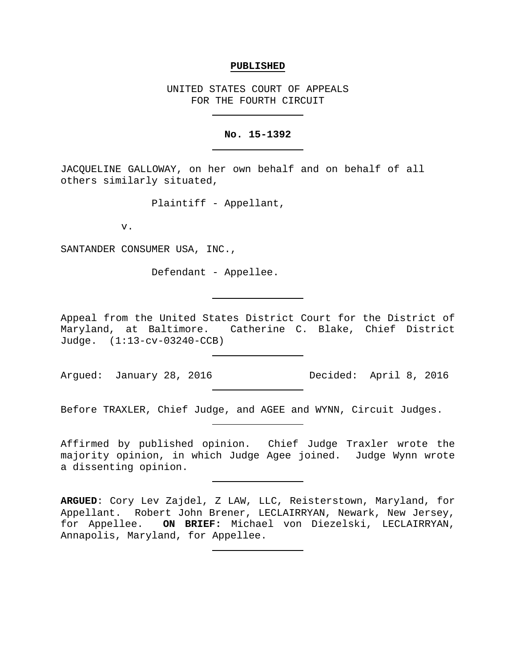#### **PUBLISHED**

UNITED STATES COURT OF APPEALS FOR THE FOURTH CIRCUIT

#### **No. 15-1392**

JACQUELINE GALLOWAY, on her own behalf and on behalf of all others similarly situated,

Plaintiff - Appellant,

v.

SANTANDER CONSUMER USA, INC.,

Defendant - Appellee.

Appeal from the United States District Court for the District of Maryland, at Baltimore. Catherine C. Blake, Chief District Judge. (1:13-cv-03240-CCB)

Before TRAXLER, Chief Judge, and AGEE and WYNN, Circuit Judges.

Affirmed by published opinion. Chief Judge Traxler wrote the majority opinion, in which Judge Agee joined. Judge Wynn wrote a dissenting opinion.

**ARGUED**: Cory Lev Zajdel, Z LAW, LLC, Reisterstown, Maryland, for Appellant. Robert John Brener, LECLAIRRYAN, Newark, New Jersey, for Appellee. **ON BRIEF:** Michael von Diezelski, LECLAIRRYAN, Annapolis, Maryland, for Appellee.

Argued: January 28, 2016 Decided: April 8, 2016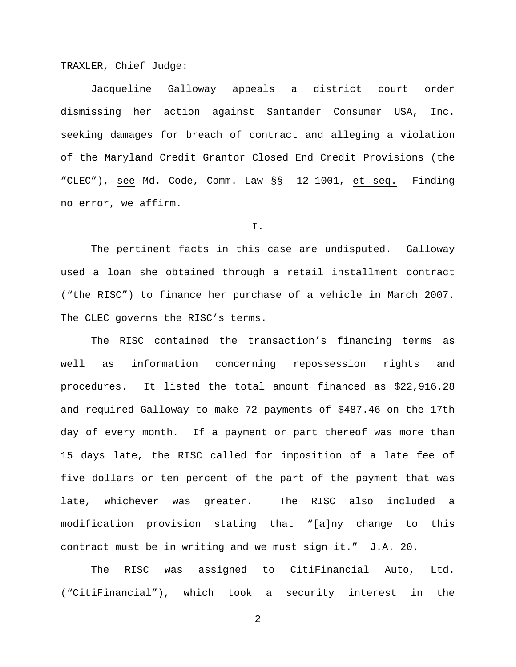TRAXLER, Chief Judge:

Jacqueline Galloway appeals a district court order dismissing her action against Santander Consumer USA, Inc. seeking damages for breach of contract and alleging a violation of the Maryland Credit Grantor Closed End Credit Provisions (the "CLEC"), see Md. Code, Comm. Law §§ 12-1001, et seq. Finding no error, we affirm.

I.

The pertinent facts in this case are undisputed. Galloway used a loan she obtained through a retail installment contract ("the RISC") to finance her purchase of a vehicle in March 2007. The CLEC governs the RISC's terms.

The RISC contained the transaction's financing terms as well as information concerning repossession rights and procedures. It listed the total amount financed as \$22,916.28 and required Galloway to make 72 payments of \$487.46 on the 17th day of every month. If a payment or part thereof was more than 15 days late, the RISC called for imposition of a late fee of five dollars or ten percent of the part of the payment that was late, whichever was greater. The RISC also included a modification provision stating that "[a]ny change to this contract must be in writing and we must sign it." J.A. 20.

The RISC was assigned to CitiFinancial Auto, Ltd. ("CitiFinancial"), which took a security interest in the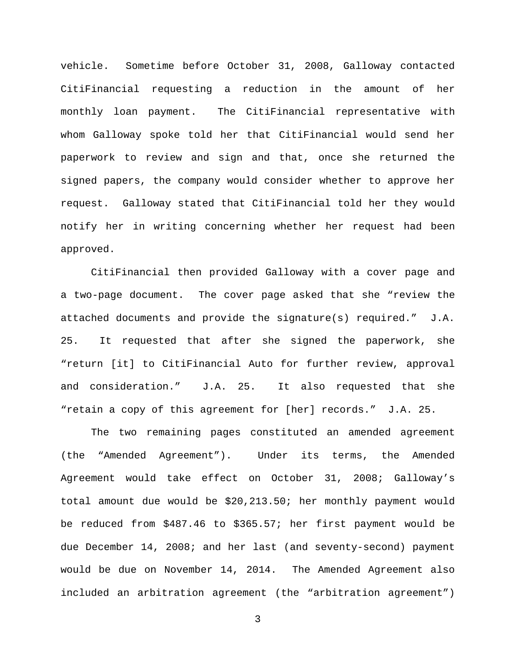vehicle. Sometime before October 31, 2008, Galloway contacted CitiFinancial requesting a reduction in the amount of her monthly loan payment. The CitiFinancial representative with whom Galloway spoke told her that CitiFinancial would send her paperwork to review and sign and that, once she returned the signed papers, the company would consider whether to approve her request. Galloway stated that CitiFinancial told her they would notify her in writing concerning whether her request had been approved.

CitiFinancial then provided Galloway with a cover page and a two-page document. The cover page asked that she "review the attached documents and provide the signature(s) required." J.A. 25. It requested that after she signed the paperwork, she "return [it] to CitiFinancial Auto for further review, approval and consideration." J.A. 25. It also requested that she "retain a copy of this agreement for [her] records." J.A. 25.

The two remaining pages constituted an amended agreement (the "Amended Agreement"). Under its terms, the Amended Agreement would take effect on October 31, 2008; Galloway's total amount due would be \$20,213.50; her monthly payment would be reduced from \$487.46 to \$365.57; her first payment would be due December 14, 2008; and her last (and seventy-second) payment would be due on November 14, 2014. The Amended Agreement also included an arbitration agreement (the "arbitration agreement")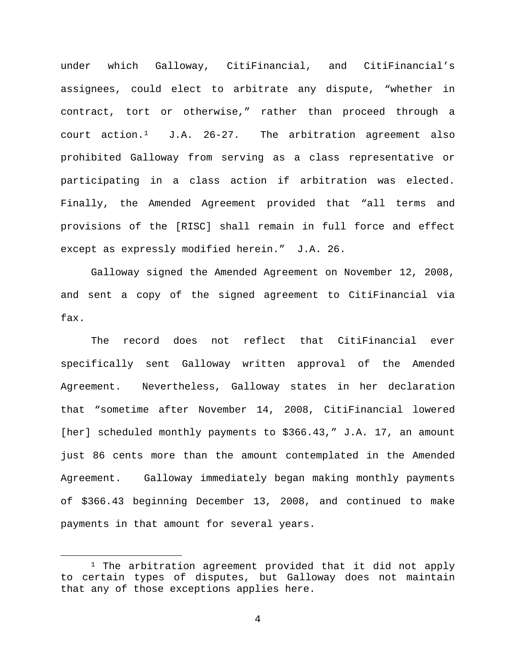under which Galloway, CitiFinancial, and CitiFinancial's assignees, could elect to arbitrate any dispute, "whether in contract, tort or otherwise," rather than proceed through a court  $\arctan \frac{1}{1}$  J.A. 26-27. The arbitration agreement also prohibited Galloway from serving as a class representative or participating in a class action if arbitration was elected. Finally, the Amended Agreement provided that "all terms and provisions of the [RISC] shall remain in full force and effect except as expressly modified herein." J.A. 26.

Galloway signed the Amended Agreement on November 12, 2008, and sent a copy of the signed agreement to CitiFinancial via fax.

The record does not reflect that CitiFinancial ever specifically sent Galloway written approval of the Amended Agreement. Nevertheless, Galloway states in her declaration that "sometime after November 14, 2008, CitiFinancial lowered [her] scheduled monthly payments to \$366.43," J.A. 17, an amount just 86 cents more than the amount contemplated in the Amended Agreement. Galloway immediately began making monthly payments of \$366.43 beginning December 13, 2008, and continued to make payments in that amount for several years.

<span id="page-3-0"></span> $1$  The arbitration agreement provided that it did not apply to certain types of disputes, but Galloway does not maintain that any of those exceptions applies here.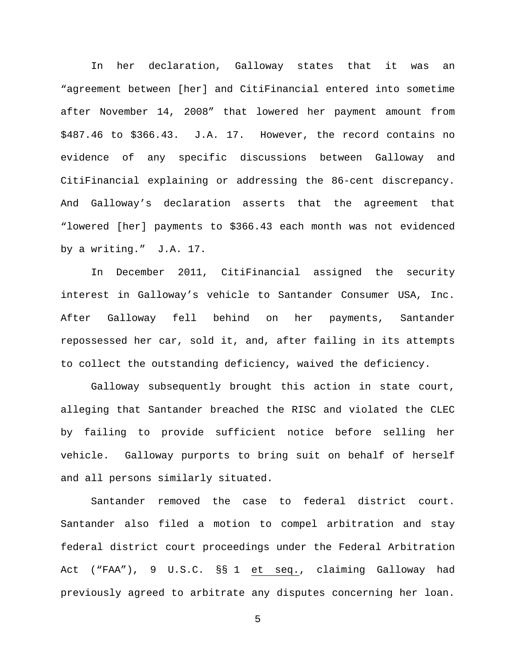In her declaration, Galloway states that it was an "agreement between [her] and CitiFinancial entered into sometime after November 14, 2008" that lowered her payment amount from \$487.46 to \$366.43. J.A. 17. However, the record contains no evidence of any specific discussions between Galloway and CitiFinancial explaining or addressing the 86-cent discrepancy. And Galloway's declaration asserts that the agreement that "lowered [her] payments to \$366.43 each month was not evidenced by a writing." J.A. 17.

In December 2011, CitiFinancial assigned the security interest in Galloway's vehicle to Santander Consumer USA, Inc. After Galloway fell behind on her payments, Santander repossessed her car, sold it, and, after failing in its attempts to collect the outstanding deficiency, waived the deficiency.

Galloway subsequently brought this action in state court, alleging that Santander breached the RISC and violated the CLEC by failing to provide sufficient notice before selling her vehicle. Galloway purports to bring suit on behalf of herself and all persons similarly situated.

Santander removed the case to federal district court. Santander also filed a motion to compel arbitration and stay federal district court proceedings under the Federal Arbitration Act ("FAA"), 9 U.S.C. §§ 1 et seq., claiming Galloway had previously agreed to arbitrate any disputes concerning her loan.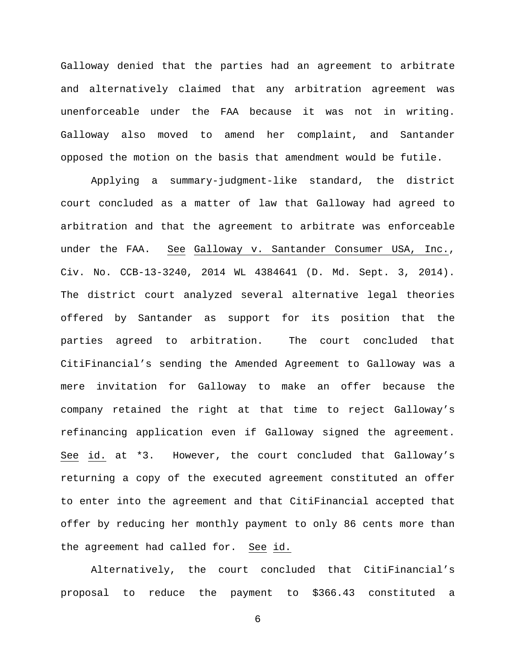Galloway denied that the parties had an agreement to arbitrate and alternatively claimed that any arbitration agreement was unenforceable under the FAA because it was not in writing. Galloway also moved to amend her complaint, and Santander opposed the motion on the basis that amendment would be futile.

Applying a summary-judgment-like standard, the district court concluded as a matter of law that Galloway had agreed to arbitration and that the agreement to arbitrate was enforceable under the FAA. See Galloway v. Santander Consumer USA, Inc., Civ. No. CCB-13-3240, 2014 WL 4384641 (D. Md. Sept. 3, 2014). The district court analyzed several alternative legal theories offered by Santander as support for its position that the parties agreed to arbitration. The court concluded that CitiFinancial's sending the Amended Agreement to Galloway was a mere invitation for Galloway to make an offer because the company retained the right at that time to reject Galloway's refinancing application even if Galloway signed the agreement. See id. at \*3. However, the court concluded that Galloway's returning a copy of the executed agreement constituted an offer to enter into the agreement and that CitiFinancial accepted that offer by reducing her monthly payment to only 86 cents more than the agreement had called for. See id.

Alternatively, the court concluded that CitiFinancial's proposal to reduce the payment to \$366.43 constituted a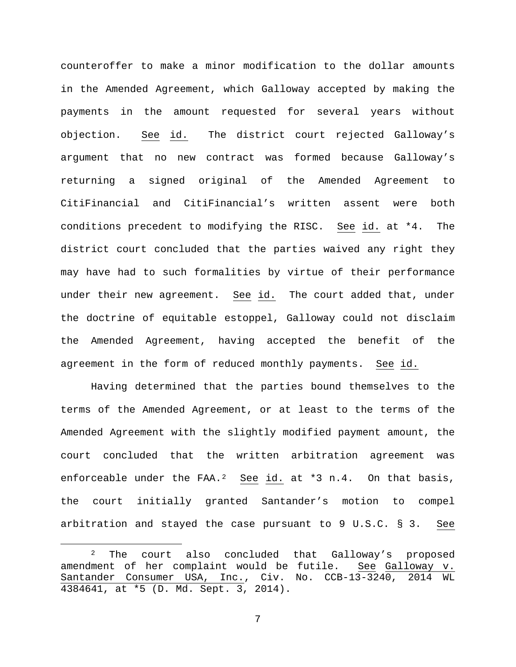counteroffer to make a minor modification to the dollar amounts in the Amended Agreement, which Galloway accepted by making the payments in the amount requested for several years without objection. See id. The district court rejected Galloway's argument that no new contract was formed because Galloway's returning a signed original of the Amended Agreement to CitiFinancial and CitiFinancial's written assent were both conditions precedent to modifying the RISC. See id. at \*4. The district court concluded that the parties waived any right they may have had to such formalities by virtue of their performance under their new agreement. See id. The court added that, under the doctrine of equitable estoppel, Galloway could not disclaim the Amended Agreement, having accepted the benefit of the agreement in the form of reduced monthly payments. See id.

Having determined that the parties bound themselves to the terms of the Amended Agreement, or at least to the terms of the Amended Agreement with the slightly modified payment amount, the court concluded that the written arbitration agreement was enforceable under the FAA.<sup>[2](#page-6-0)</sup> See id. at \*3 n.4. On that basis, the court initially granted Santander's motion to compel arbitration and stayed the case pursuant to 9 U.S.C. § 3. See

<span id="page-6-0"></span><sup>&</sup>lt;sup>2</sup> The court also concluded that Galloway's proposed amendment of her complaint would be futile. See Galloway v. Santander Consumer USA, Inc., Civ. No. CCB-13-3240, 2014 WL 4384641, at \*5 (D. Md. Sept. 3, 2014).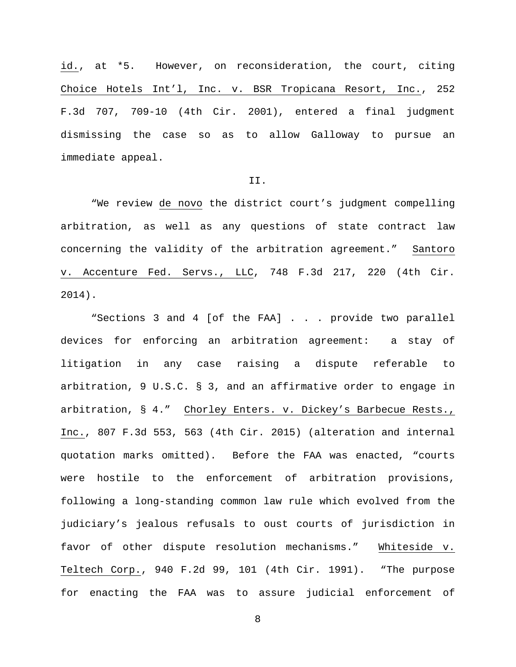id., at \*5. However, on reconsideration, the court, citing Choice Hotels Int'l, Inc. v. BSR Tropicana Resort, Inc., 252 F.3d 707, 709-10 (4th Cir. 2001), entered a final judgment dismissing the case so as to allow Galloway to pursue an immediate appeal.

### II.

"We review de novo the district court's judgment compelling arbitration, as well as any questions of state contract law concerning the validity of the arbitration agreement." Santoro v. Accenture Fed. Servs., LLC, 748 F.3d 217, 220 (4th Cir. 2014).

"Sections 3 and 4 [of the FAA] . . . provide two parallel devices for enforcing an arbitration agreement: a stay of litigation in any case raising a dispute referable to arbitration, 9 U.S.C. § 3, and an affirmative order to engage in arbitration, § 4." Chorley Enters. v. Dickey's Barbecue Rests., Inc., 807 F.3d 553, 563 (4th Cir. 2015) (alteration and internal quotation marks omitted). Before the FAA was enacted, "courts were hostile to the enforcement of arbitration provisions, following a long-standing common law rule which evolved from the judiciary's jealous refusals to oust courts of jurisdiction in favor of other dispute resolution mechanisms." Whiteside v. Teltech Corp., 940 F.2d 99, 101 (4th Cir. 1991). "The purpose for enacting the FAA was to assure judicial enforcement of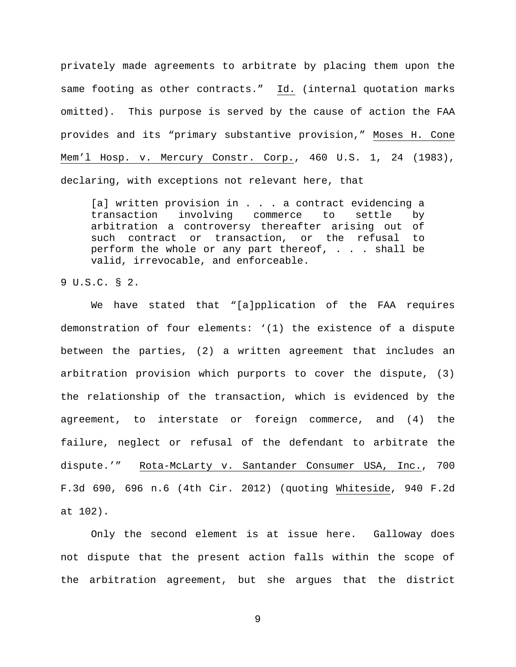privately made agreements to arbitrate by placing them upon the same footing as other contracts." Id. (internal quotation marks omitted). This purpose is served by the cause of action the FAA provides and its "primary substantive provision," Moses H. Cone Mem'l Hosp. v. Mercury Constr. Corp., 460 U.S. 1, 24 (1983), declaring, with exceptions not relevant here, that

[a] written provision in . . . a contract evidencing a transaction involving commerce to settle by arbitration a controversy thereafter arising out of such contract or transaction, or the refusal to perform the whole or any part thereof, . . . shall be valid, irrevocable, and enforceable.

9 U.S.C. § 2.

We have stated that "[a]pplication of the FAA requires demonstration of four elements: '(1) the existence of a dispute between the parties, (2) a written agreement that includes an arbitration provision which purports to cover the dispute, (3) the relationship of the transaction, which is evidenced by the agreement, to interstate or foreign commerce, and (4) the failure, neglect or refusal of the defendant to arbitrate the dispute.'" Rota-McLarty v. Santander Consumer USA, Inc., 700 F.3d 690, 696 n.6 (4th Cir. 2012) (quoting Whiteside, 940 F.2d at 102).

Only the second element is at issue here. Galloway does not dispute that the present action falls within the scope of the arbitration agreement, but she argues that the district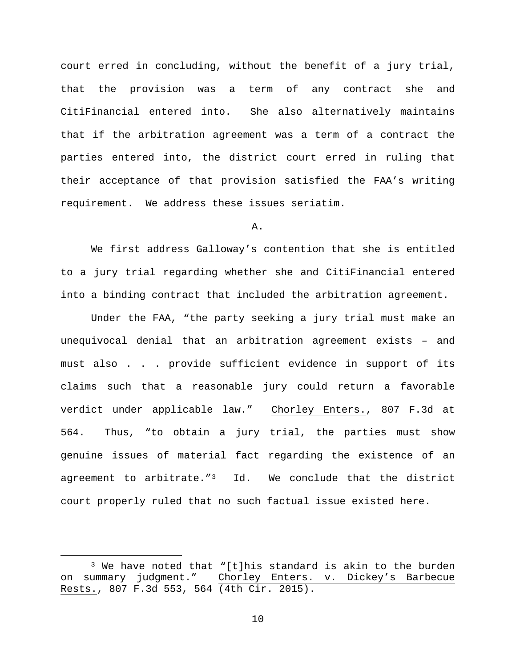court erred in concluding, without the benefit of a jury trial, that the provision was a term of any contract she and CitiFinancial entered into. She also alternatively maintains that if the arbitration agreement was a term of a contract the parties entered into, the district court erred in ruling that their acceptance of that provision satisfied the FAA's writing requirement. We address these issues seriatim.

A.

We first address Galloway's contention that she is entitled to a jury trial regarding whether she and CitiFinancial entered into a binding contract that included the arbitration agreement.

Under the FAA, "the party seeking a jury trial must make an unequivocal denial that an arbitration agreement exists – and must also . . . provide sufficient evidence in support of its claims such that a reasonable jury could return a favorable verdict under applicable law." Chorley Enters., 807 F.3d at 564. Thus, "to obtain a jury trial, the parties must show genuine issues of material fact regarding the existence of an agreement to arbitrate."[3](#page-9-0) Id. We conclude that the district court properly ruled that no such factual issue existed here.

<span id="page-9-0"></span><sup>&</sup>lt;sup>3</sup> We have noted that "[t]his standard is akin to the burden<br>on summary judgment." Chorley Enters. v. Dickey's Barbecue Chorley Enters. v. Dickey's Barbecue Rests., 807 F.3d 553, 564 (4th Cir. 2015).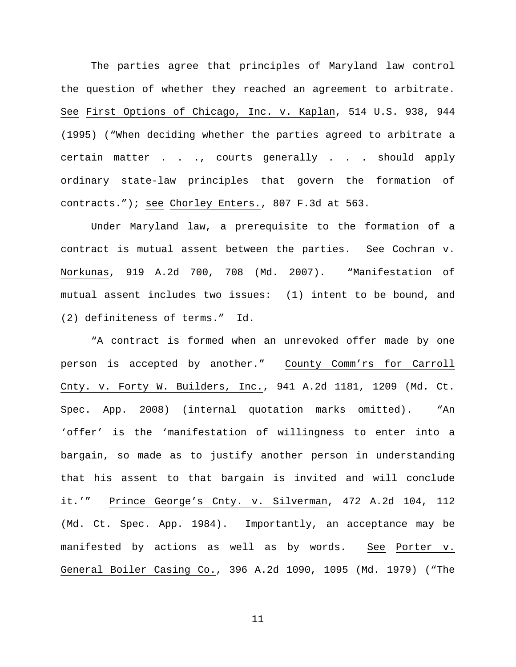The parties agree that principles of Maryland law control the question of whether they reached an agreement to arbitrate. See First Options of Chicago, Inc. v. Kaplan, 514 U.S. 938, 944 (1995) ("When deciding whether the parties agreed to arbitrate a certain matter . . ., courts generally . . . should apply ordinary state-law principles that govern the formation of contracts."); see Chorley Enters., 807 F.3d at 563.

Under Maryland law, a prerequisite to the formation of a contract is mutual assent between the parties. See Cochran v. Norkunas, 919 A.2d 700, 708 (Md. 2007). "Manifestation of mutual assent includes two issues: (1) intent to be bound, and (2) definiteness of terms." Id.

"A contract is formed when an unrevoked offer made by one person is accepted by another." County Comm'rs for Carroll Cnty. v. Forty W. Builders, Inc., 941 A.2d 1181, 1209 (Md. Ct. Spec. App. 2008) (internal quotation marks omitted). "An 'offer' is the 'manifestation of willingness to enter into a bargain, so made as to justify another person in understanding that his assent to that bargain is invited and will conclude it.'" Prince George's Cnty. v. Silverman, 472 A.2d 104, 112 (Md. Ct. Spec. App. 1984). Importantly, an acceptance may be manifested by actions as well as by words. See Porter v. General Boiler Casing Co., 396 A.2d 1090, 1095 (Md. 1979) ("The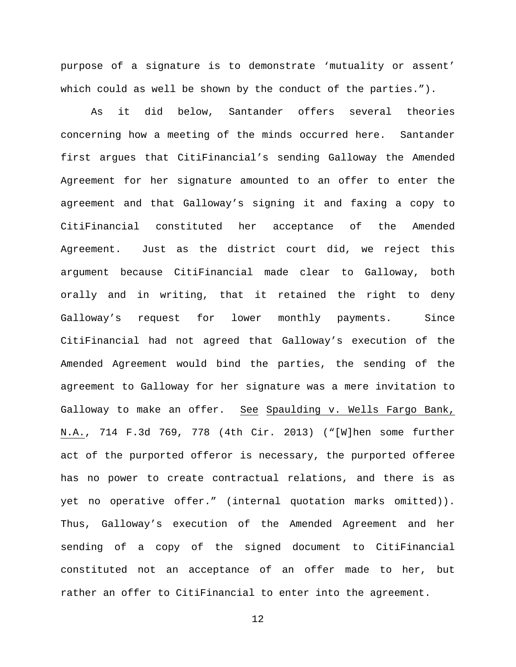purpose of a signature is to demonstrate 'mutuality or assent' which could as well be shown by the conduct of the parties.").

As it did below, Santander offers several theories concerning how a meeting of the minds occurred here. Santander first argues that CitiFinancial's sending Galloway the Amended Agreement for her signature amounted to an offer to enter the agreement and that Galloway's signing it and faxing a copy to CitiFinancial constituted her acceptance of the Amended Agreement. Just as the district court did, we reject this argument because CitiFinancial made clear to Galloway, both orally and in writing, that it retained the right to deny Galloway's request for lower monthly payments. Since CitiFinancial had not agreed that Galloway's execution of the Amended Agreement would bind the parties, the sending of the agreement to Galloway for her signature was a mere invitation to Galloway to make an offer. See Spaulding v. Wells Fargo Bank, N.A., 714 F.3d 769, 778 (4th Cir. 2013) ("[W]hen some further act of the purported offeror is necessary, the purported offeree has no power to create contractual relations, and there is as yet no operative offer." (internal quotation marks omitted)). Thus, Galloway's execution of the Amended Agreement and her sending of a copy of the signed document to CitiFinancial constituted not an acceptance of an offer made to her, but rather an offer to CitiFinancial to enter into the agreement.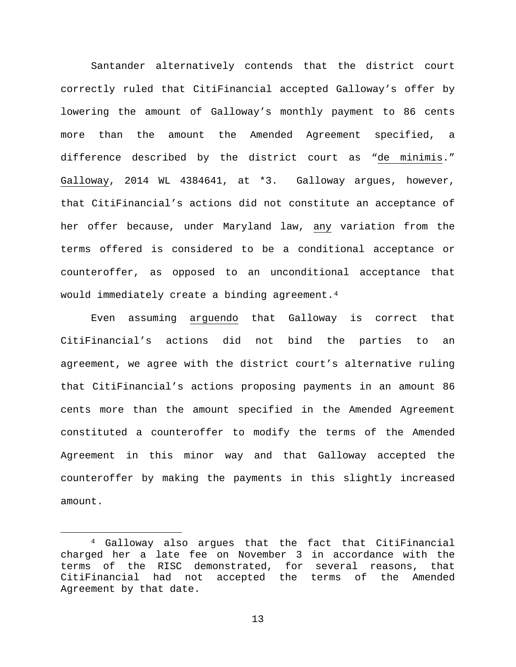Santander alternatively contends that the district court correctly ruled that CitiFinancial accepted Galloway's offer by lowering the amount of Galloway's monthly payment to 86 cents more than the amount the Amended Agreement specified, a difference described by the district court as "de minimis." Galloway, 2014 WL 4384641, at \*3. Galloway argues, however, that CitiFinancial's actions did not constitute an acceptance of her offer because, under Maryland law, any variation from the terms offered is considered to be a conditional acceptance or counteroffer, as opposed to an unconditional acceptance that would immediately create a binding agreement.<sup>4</sup>

Even assuming arguendo that Galloway is correct that CitiFinancial's actions did not bind the parties to an agreement, we agree with the district court's alternative ruling that CitiFinancial's actions proposing payments in an amount 86 cents more than the amount specified in the Amended Agreement constituted a counteroffer to modify the terms of the Amended Agreement in this minor way and that Galloway accepted the counteroffer by making the payments in this slightly increased amount.

<span id="page-12-0"></span> <sup>4</sup> Galloway also argues that the fact that CitiFinancial charged her a late fee on November 3 in accordance with the terms of the RISC demonstrated, for several reasons, that CitiFinancial had not accepted the terms of the Amended Agreement by that date.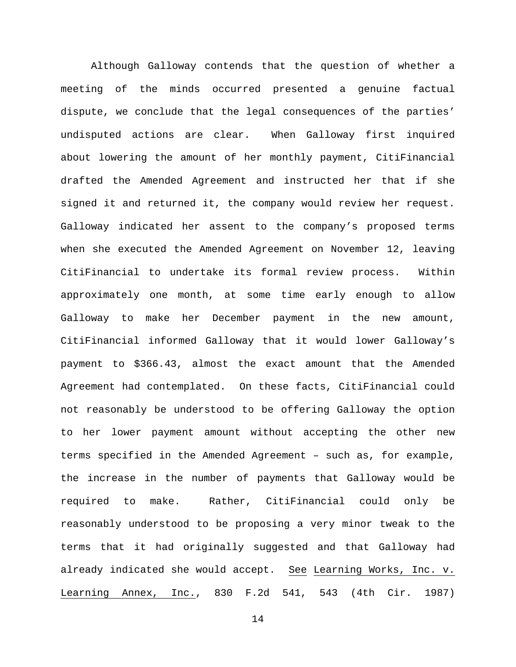Although Galloway contends that the question of whether a meeting of the minds occurred presented a genuine factual dispute, we conclude that the legal consequences of the parties' undisputed actions are clear. When Galloway first inquired about lowering the amount of her monthly payment, CitiFinancial drafted the Amended Agreement and instructed her that if she signed it and returned it, the company would review her request. Galloway indicated her assent to the company's proposed terms when she executed the Amended Agreement on November 12, leaving CitiFinancial to undertake its formal review process. Within approximately one month, at some time early enough to allow Galloway to make her December payment in the new amount, CitiFinancial informed Galloway that it would lower Galloway's payment to \$366.43, almost the exact amount that the Amended Agreement had contemplated. On these facts, CitiFinancial could not reasonably be understood to be offering Galloway the option to her lower payment amount without accepting the other new terms specified in the Amended Agreement – such as, for example, the increase in the number of payments that Galloway would be required to make. Rather, CitiFinancial could only be reasonably understood to be proposing a very minor tweak to the terms that it had originally suggested and that Galloway had already indicated she would accept. See Learning Works, Inc. v. Learning Annex, Inc., 830 F.2d 541, 543 (4th Cir. 1987)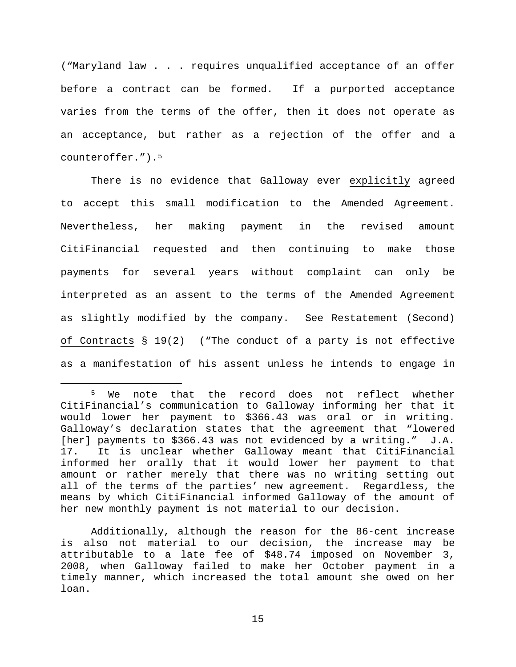("Maryland law . . . requires unqualified acceptance of an offer before a contract can be formed. If a purported acceptance varies from the terms of the offer, then it does not operate as an acceptance, but rather as a rejection of the offer and a counteroffer.").[5](#page-14-0)

There is no evidence that Galloway ever explicitly agreed to accept this small modification to the Amended Agreement. Nevertheless, her making payment in the revised amount CitiFinancial requested and then continuing to make those payments for several years without complaint can only be interpreted as an assent to the terms of the Amended Agreement as slightly modified by the company. See Restatement (Second) of Contracts § 19(2) ("The conduct of a party is not effective as a manifestation of his assent unless he intends to engage in

<span id="page-14-0"></span><sup>&</sup>lt;sup>5</sup> We note that the record does not reflect whether CitiFinancial's communication to Galloway informing her that it would lower her payment to \$366.43 was oral or in writing. Galloway's declaration states that the agreement that "lowered [her] payments to \$366.43 was not evidenced by a writing." J.A. 17. It is unclear whether Galloway meant that CitiFinancial informed her orally that it would lower her payment to that amount or rather merely that there was no writing setting out all of the terms of the parties' new agreement. Regardless, the means by which CitiFinancial informed Galloway of the amount of her new monthly payment is not material to our decision.

Additionally, although the reason for the 86-cent increase is also not material to our decision, the increase may be attributable to a late fee of \$48.74 imposed on November 3, 2008, when Galloway failed to make her October payment in a timely manner, which increased the total amount she owed on her loan.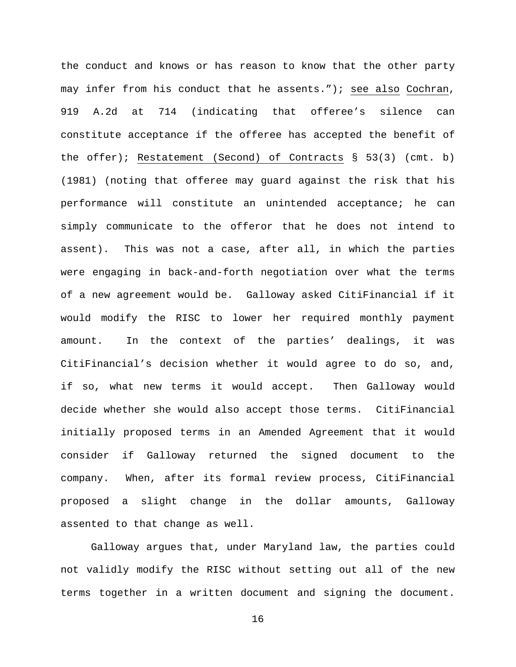the conduct and knows or has reason to know that the other party may infer from his conduct that he assents."); see also Cochran, 919 A.2d at 714 (indicating that offeree's silence can constitute acceptance if the offeree has accepted the benefit of the offer); Restatement (Second) of Contracts § 53(3) (cmt. b) (1981) (noting that offeree may guard against the risk that his performance will constitute an unintended acceptance; he can simply communicate to the offeror that he does not intend to assent). This was not a case, after all, in which the parties were engaging in back-and-forth negotiation over what the terms of a new agreement would be. Galloway asked CitiFinancial if it would modify the RISC to lower her required monthly payment amount. In the context of the parties' dealings, it was CitiFinancial's decision whether it would agree to do so, and, if so, what new terms it would accept. Then Galloway would decide whether she would also accept those terms. CitiFinancial initially proposed terms in an Amended Agreement that it would consider if Galloway returned the signed document to the company. When, after its formal review process, CitiFinancial proposed a slight change in the dollar amounts, Galloway assented to that change as well.

Galloway argues that, under Maryland law, the parties could not validly modify the RISC without setting out all of the new terms together in a written document and signing the document.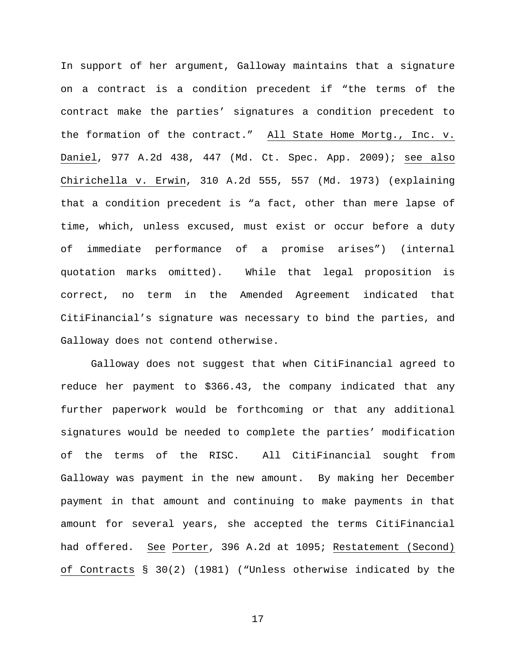In support of her argument, Galloway maintains that a signature on a contract is a condition precedent if "the terms of the contract make the parties' signatures a condition precedent to the formation of the contract." All State Home Mortg., Inc. v. Daniel, 977 A.2d 438, 447 (Md. Ct. Spec. App. 2009); see also Chirichella v. Erwin, 310 A.2d 555, 557 (Md. 1973) (explaining that a condition precedent is "a fact, other than mere lapse of time, which, unless excused, must exist or occur before a duty of immediate performance of a promise arises") (internal quotation marks omitted). While that legal proposition is correct, no term in the Amended Agreement indicated that CitiFinancial's signature was necessary to bind the parties, and Galloway does not contend otherwise.

Galloway does not suggest that when CitiFinancial agreed to reduce her payment to \$366.43, the company indicated that any further paperwork would be forthcoming or that any additional signatures would be needed to complete the parties' modification of the terms of the RISC. All CitiFinancial sought from Galloway was payment in the new amount. By making her December payment in that amount and continuing to make payments in that amount for several years, she accepted the terms CitiFinancial had offered. See Porter, 396 A.2d at 1095; Restatement (Second) of Contracts § 30(2) (1981) ("Unless otherwise indicated by the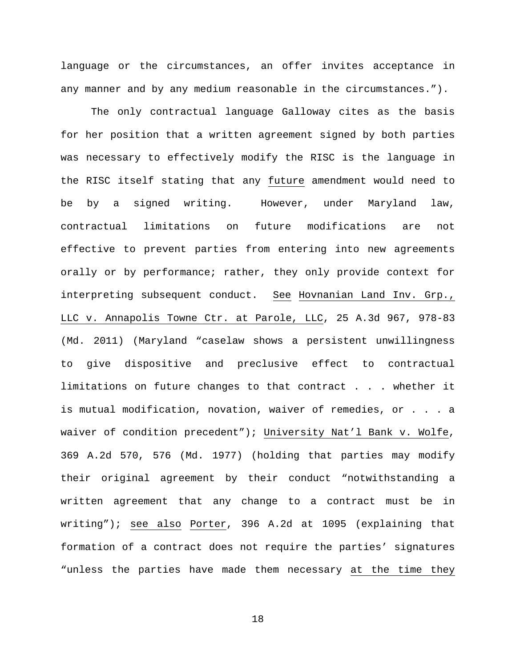language or the circumstances, an offer invites acceptance in any manner and by any medium reasonable in the circumstances.").

The only contractual language Galloway cites as the basis for her position that a written agreement signed by both parties was necessary to effectively modify the RISC is the language in the RISC itself stating that any future amendment would need to be by a signed writing. However, under Maryland law, contractual limitations on future modifications are not effective to prevent parties from entering into new agreements orally or by performance; rather, they only provide context for interpreting subsequent conduct. See Hovnanian Land Inv. Grp., LLC v. Annapolis Towne Ctr. at Parole, LLC, 25 A.3d 967, 978-83 (Md. 2011) (Maryland "caselaw shows a persistent unwillingness to give dispositive and preclusive effect to contractual limitations on future changes to that contract . . . whether it is mutual modification, novation, waiver of remedies, or . . . a waiver of condition precedent"); University Nat'l Bank v. Wolfe, 369 A.2d 570, 576 (Md. 1977) (holding that parties may modify their original agreement by their conduct "notwithstanding a written agreement that any change to a contract must be in writing"); see also Porter, 396 A.2d at 1095 (explaining that formation of a contract does not require the parties' signatures "unless the parties have made them necessary at the time they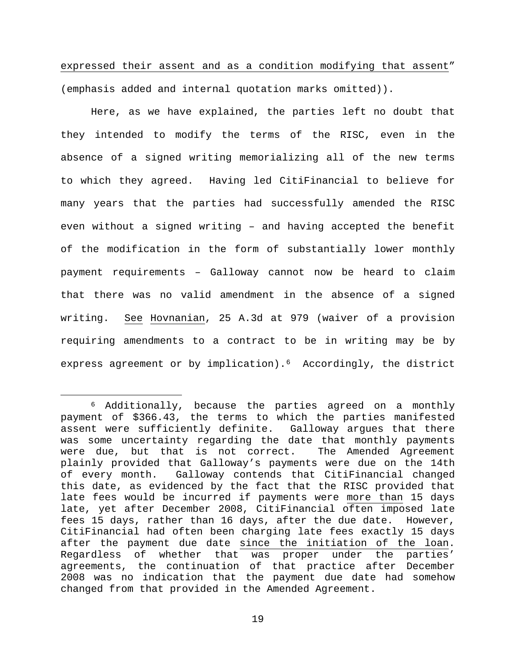expressed their assent and as a condition modifying that assent" (emphasis added and internal quotation marks omitted)).

Here, as we have explained, the parties left no doubt that they intended to modify the terms of the RISC, even in the absence of a signed writing memorializing all of the new terms to which they agreed. Having led CitiFinancial to believe for many years that the parties had successfully amended the RISC even without a signed writing – and having accepted the benefit of the modification in the form of substantially lower monthly payment requirements – Galloway cannot now be heard to claim that there was no valid amendment in the absence of a signed writing. See Hovnanian, 25 A.3d at 979 (waiver of a provision requiring amendments to a contract to be in writing may be by express agreement or by implication).<sup>6</sup> Accordingly, the district

<span id="page-18-0"></span> <sup>6</sup> Additionally, because the parties agreed on a monthly payment of \$366.43, the terms to which the parties manifested assent were sufficiently definite. Galloway argues that there was some uncertainty regarding the date that monthly payments were due, but that is not correct. The Amended Agreement plainly provided that Galloway's payments were due on the 14th<br>of every month. Galloway contends that CitiFinancial changed Galloway contends that CitiFinancial changed this date, as evidenced by the fact that the RISC provided that late fees would be incurred if payments were more than 15 days late, yet after December 2008, CitiFinancial often imposed late fees 15 days, rather than 16 days, after the due date. However, CitiFinancial had often been charging late fees exactly 15 days after the payment due date since the initiation of the loan. Regardless of whether that was proper under the parties' agreements, the continuation of that practice after December 2008 was no indication that the payment due date had somehow changed from that provided in the Amended Agreement.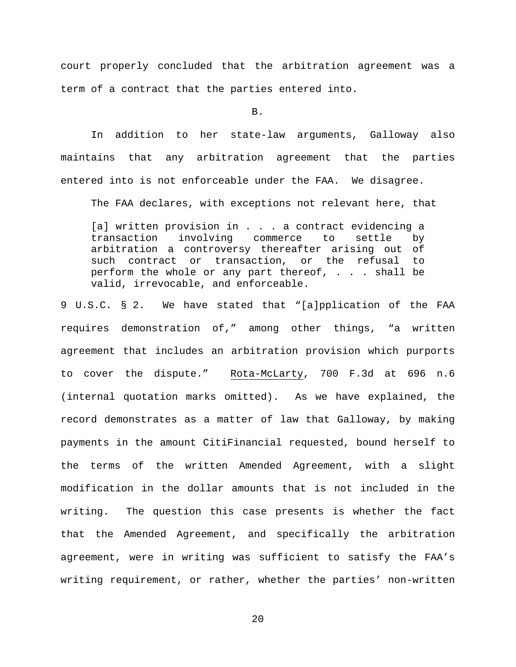court properly concluded that the arbitration agreement was a term of a contract that the parties entered into.

B.

In addition to her state-law arguments, Galloway also maintains that any arbitration agreement that the parties entered into is not enforceable under the FAA. We disagree.

The FAA declares, with exceptions not relevant here, that

[a] written provision in . . . a contract evidencing a transaction involving commerce to settle by arbitration a controversy thereafter arising out of such contract or transaction, or the refusal to perform the whole or any part thereof, . . . shall be valid, irrevocable, and enforceable.

9 U.S.C. § 2. We have stated that "[a]pplication of the FAA requires demonstration of," among other things, "a written agreement that includes an arbitration provision which purports to cover the dispute." Rota-McLarty, 700 F.3d at 696 n.6 (internal quotation marks omitted). As we have explained, the record demonstrates as a matter of law that Galloway, by making payments in the amount CitiFinancial requested, bound herself to the terms of the written Amended Agreement, with a slight modification in the dollar amounts that is not included in the writing. The question this case presents is whether the fact that the Amended Agreement, and specifically the arbitration agreement, were in writing was sufficient to satisfy the FAA's writing requirement, or rather, whether the parties' non-written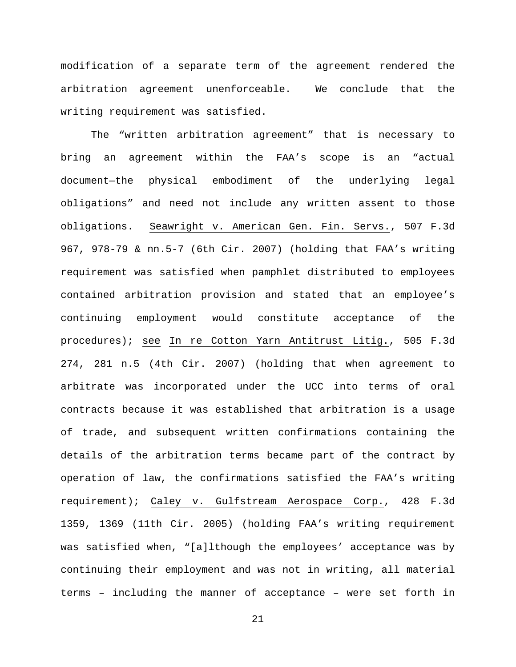modification of a separate term of the agreement rendered the arbitration agreement unenforceable. We conclude that the writing requirement was satisfied.

The "written arbitration agreement" that is necessary to bring an agreement within the FAA's scope is an "actual document—the physical embodiment of the underlying legal obligations" and need not include any written assent to those obligations. Seawright v. American Gen. Fin. Servs., 507 F.3d 967, 978-79 & nn.5-7 (6th Cir. 2007) (holding that FAA's writing requirement was satisfied when pamphlet distributed to employees contained arbitration provision and stated that an employee's continuing employment would constitute acceptance of the procedures); see In re Cotton Yarn Antitrust Litig., 505 F.3d 274, 281 n.5 (4th Cir. 2007) (holding that when agreement to arbitrate was incorporated under the UCC into terms of oral contracts because it was established that arbitration is a usage of trade, and subsequent written confirmations containing the details of the arbitration terms became part of the contract by operation of law, the confirmations satisfied the FAA's writing requirement); Caley v. Gulfstream Aerospace Corp., 428 F.3d 1359, 1369 (11th Cir. 2005) (holding FAA's writing requirement was satisfied when, "[a]lthough the employees' acceptance was by continuing their employment and was not in writing, all material terms – including the manner of acceptance – were set forth in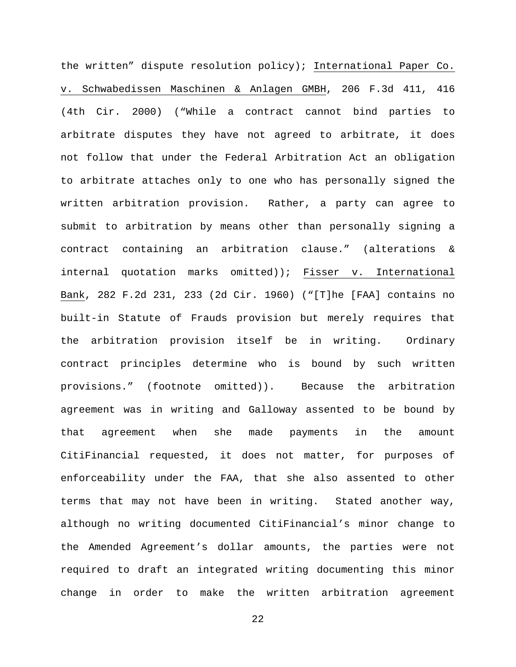the written" dispute resolution policy); International Paper Co. v. Schwabedissen Maschinen & Anlagen GMBH, 206 F.3d 411, 416 (4th Cir. 2000) ("While a contract cannot bind parties to arbitrate disputes they have not agreed to arbitrate, it does not follow that under the Federal Arbitration Act an obligation to arbitrate attaches only to one who has personally signed the written arbitration provision. Rather, a party can agree to submit to arbitration by means other than personally signing a contract containing an arbitration clause." (alterations & internal quotation marks omitted)); Fisser v. International Bank, 282 F.2d 231, 233 (2d Cir. 1960) ("[T]he [FAA] contains no built-in Statute of Frauds provision but merely requires that the arbitration provision itself be in writing. Ordinary contract principles determine who is bound by such written provisions." (footnote omitted)). Because the arbitration agreement was in writing and Galloway assented to be bound by that agreement when she made payments in the amount CitiFinancial requested, it does not matter, for purposes of enforceability under the FAA, that she also assented to other terms that may not have been in writing. Stated another way, although no writing documented CitiFinancial's minor change to the Amended Agreement's dollar amounts, the parties were not required to draft an integrated writing documenting this minor change in order to make the written arbitration agreement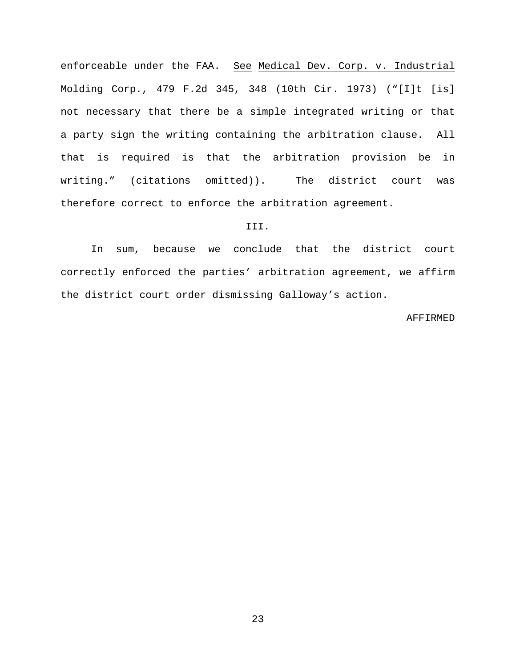enforceable under the FAA. See Medical Dev. Corp. v. Industrial Molding Corp., 479 F.2d 345, 348 (10th Cir. 1973) ("[I]t [is] not necessary that there be a simple integrated writing or that a party sign the writing containing the arbitration clause. All that is required is that the arbitration provision be in writing." (citations omitted)). The district court was therefore correct to enforce the arbitration agreement.

## III.

In sum, because we conclude that the district court correctly enforced the parties' arbitration agreement, we affirm the district court order dismissing Galloway's action.

#### AFFIRMED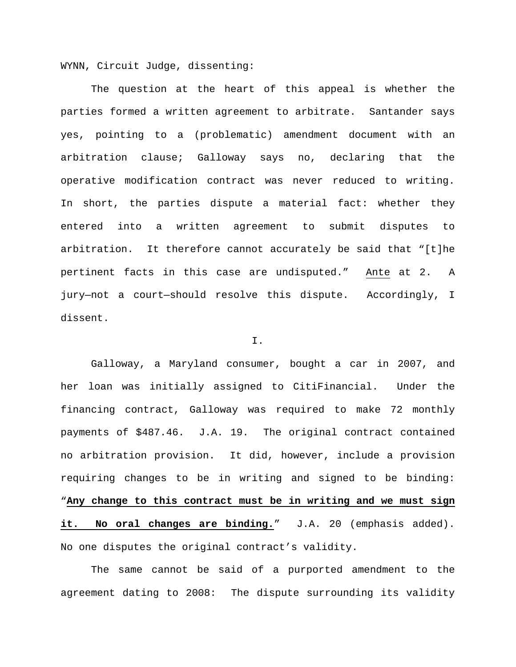WYNN, Circuit Judge, dissenting:

The question at the heart of this appeal is whether the parties formed a written agreement to arbitrate. Santander says yes, pointing to a (problematic) amendment document with an arbitration clause; Galloway says no, declaring that the operative modification contract was never reduced to writing. In short, the parties dispute a material fact: whether they entered into a written agreement to submit disputes to arbitration. It therefore cannot accurately be said that "[t]he pertinent facts in this case are undisputed." Ante at 2. A jury—not a court—should resolve this dispute. Accordingly, I dissent.

### I.

Galloway, a Maryland consumer, bought a car in 2007, and her loan was initially assigned to CitiFinancial. Under the financing contract, Galloway was required to make 72 monthly payments of \$487.46. J.A. 19. The original contract contained no arbitration provision. It did, however, include a provision requiring changes to be in writing and signed to be binding: "**Any change to this contract must be in writing and we must sign it. No oral changes are binding.**" J.A. 20 (emphasis added). No one disputes the original contract's validity.

The same cannot be said of a purported amendment to the agreement dating to 2008: The dispute surrounding its validity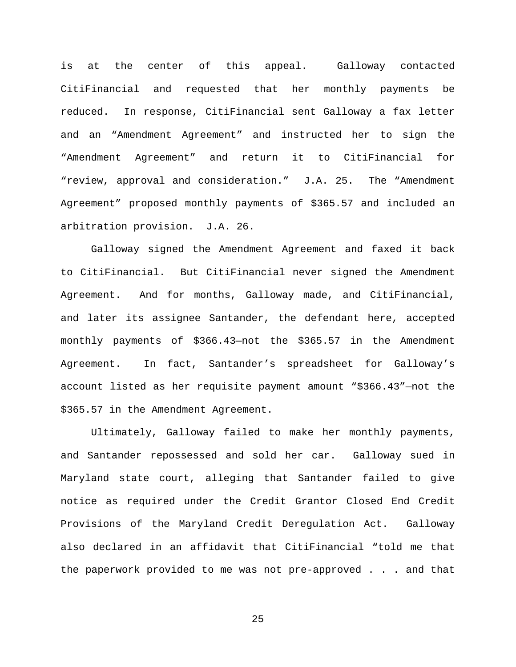is at the center of this appeal. Galloway contacted CitiFinancial and requested that her monthly payments be reduced. In response, CitiFinancial sent Galloway a fax letter and an "Amendment Agreement" and instructed her to sign the "Amendment Agreement" and return it to CitiFinancial for "review, approval and consideration." J.A. 25. The "Amendment Agreement" proposed monthly payments of \$365.57 and included an arbitration provision. J.A. 26.

Galloway signed the Amendment Agreement and faxed it back to CitiFinancial. But CitiFinancial never signed the Amendment Agreement. And for months, Galloway made, and CitiFinancial, and later its assignee Santander, the defendant here, accepted monthly payments of \$366.43—not the \$365.57 in the Amendment Agreement. In fact, Santander's spreadsheet for Galloway's account listed as her requisite payment amount "\$366.43"—not the \$365.57 in the Amendment Agreement.

Ultimately, Galloway failed to make her monthly payments, and Santander repossessed and sold her car. Galloway sued in Maryland state court, alleging that Santander failed to give notice as required under the Credit Grantor Closed End Credit Provisions of the Maryland Credit Deregulation Act. Galloway also declared in an affidavit that CitiFinancial "told me that the paperwork provided to me was not pre-approved . . . and that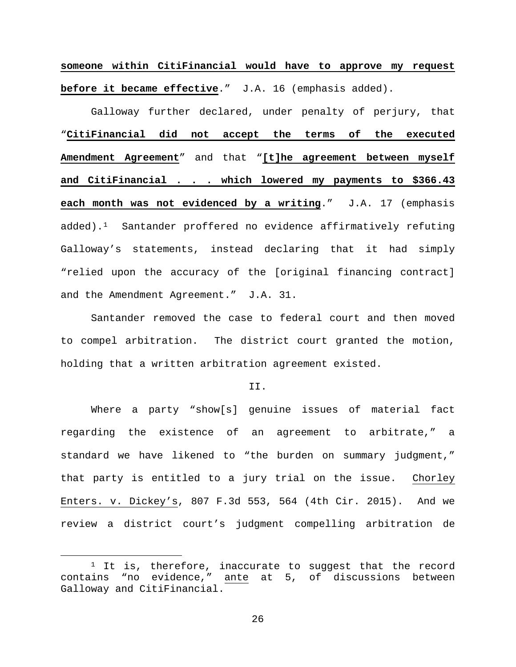**someone within CitiFinancial would have to approve my request before it became effective**." J.A. 16 (emphasis added).

Galloway further declared, under penalty of perjury, that "**CitiFinancial did not accept the terms of the executed Amendment Agreement**" and that "**[t]he agreement between myself and CitiFinancial . . . which lowered my payments to \$366.43 each month was not evidenced by a writing**." J.A. 17 (emphasis added).[1](#page-25-0) Santander proffered no evidence affirmatively refuting Galloway's statements, instead declaring that it had simply "relied upon the accuracy of the [original financing contract] and the Amendment Agreement." J.A. 31.

Santander removed the case to federal court and then moved to compel arbitration. The district court granted the motion, holding that a written arbitration agreement existed.

II.

Where a party "show[s] genuine issues of material fact regarding the existence of an agreement to arbitrate," a standard we have likened to "the burden on summary judgment," that party is entitled to a jury trial on the issue. Chorley Enters. v. Dickey's, 807 F.3d 553, 564 (4th Cir. 2015). And we review a district court's judgment compelling arbitration de

<span id="page-25-0"></span> $1$  It is, therefore, inaccurate to suggest that the record contains "no evidence," ante at 5, of discussions between Galloway and CitiFinancial.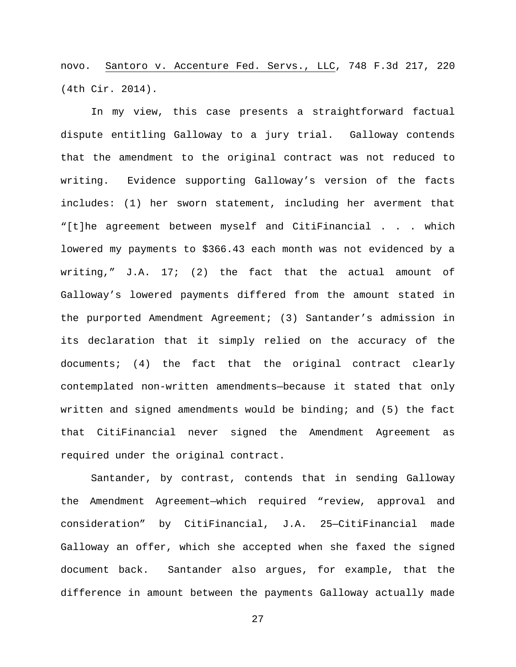novo. Santoro v. Accenture Fed. Servs., LLC, 748 F.3d 217, 220 (4th Cir. 2014).

In my view, this case presents a straightforward factual dispute entitling Galloway to a jury trial. Galloway contends that the amendment to the original contract was not reduced to writing. Evidence supporting Galloway's version of the facts includes: (1) her sworn statement, including her averment that "[t]he agreement between myself and CitiFinancial . . . which lowered my payments to \$366.43 each month was not evidenced by a writing,"  $J.A. 17$ ; (2) the fact that the actual amount of Galloway's lowered payments differed from the amount stated in the purported Amendment Agreement; (3) Santander's admission in its declaration that it simply relied on the accuracy of the documents; (4) the fact that the original contract clearly contemplated non-written amendments—because it stated that only written and signed amendments would be binding; and (5) the fact that CitiFinancial never signed the Amendment Agreement as required under the original contract.

Santander, by contrast, contends that in sending Galloway the Amendment Agreement—which required "review, approval and consideration" by CitiFinancial, J.A. 25—CitiFinancial made Galloway an offer, which she accepted when she faxed the signed document back. Santander also argues, for example, that the difference in amount between the payments Galloway actually made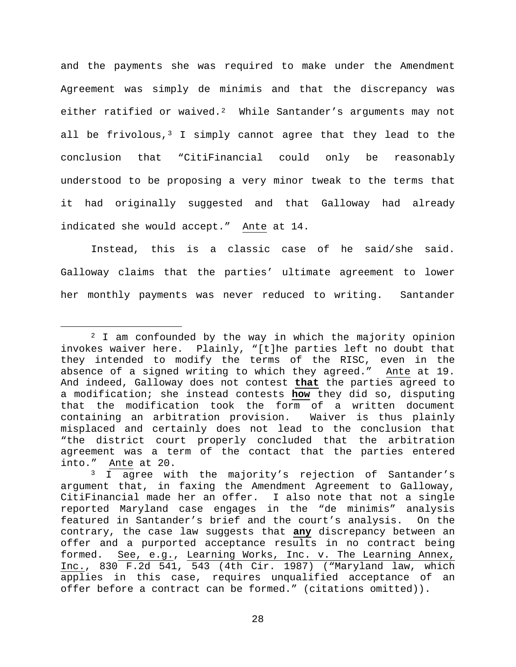and the payments she was required to make under the Amendment Agreement was simply de minimis and that the discrepancy was either ratified or waived.<sup>2</sup> While Santander's arguments may not all be frivolous, $3$  I simply cannot agree that they lead to the conclusion that "CitiFinancial could only be reasonably understood to be proposing a very minor tweak to the terms that it had originally suggested and that Galloway had already indicated she would accept." Ante at 14.

Instead, this is a classic case of he said/she said. Galloway claims that the parties' ultimate agreement to lower her monthly payments was never reduced to writing. Santander

<span id="page-27-0"></span> <sup>2</sup> I am confounded by the way in which the majority opinion invokes waiver here. Plainly, "[t]he parties left no doubt that they intended to modify the terms of the RISC, even in the absence of a signed writing to which they agreed." Ante at 19. And indeed, Galloway does not contest **that** the parties agreed to a modification; she instead contests **how** they did so, disputing that the modification took the form of a written document<br>containing an arbitration provision. Waiver is thus plainly containing an arbitration provision. misplaced and certainly does not lead to the conclusion that "the district court properly concluded that the arbitration agreement was a term of the contact that the parties entered into." Ante at 20. Ante at 20.

<span id="page-27-1"></span><sup>&</sup>lt;sup>3</sup> I agree with the majority's rejection of Santander's argument that, in faxing the Amendment Agreement to Galloway, CitiFinancial made her an offer. I also note that not a single reported Maryland case engages in the "de minimis" analysis featured in Santander's brief and the court's analysis. On the contrary, the case law suggests that **any** discrepancy between an offer and a purported acceptance results in no contract being formed. See, e.g., Learning Works, Inc. v. The Learning Annex, Inc., 830 F.2d 541, 543 (4th Cir. 1987) ("Maryland law, which applies in this case, requires unqualified acceptance of an offer before a contract can be formed." (citations omitted)).